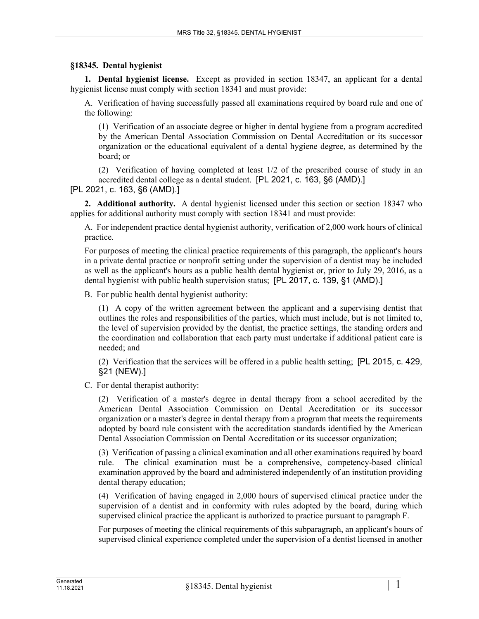## **§18345. Dental hygienist**

**1. Dental hygienist license.** Except as provided in section 18347, an applicant for a dental hygienist license must comply with section 18341 and must provide:

A. Verification of having successfully passed all examinations required by board rule and one of the following:

(1) Verification of an associate degree or higher in dental hygiene from a program accredited by the American Dental Association Commission on Dental Accreditation or its successor organization or the educational equivalent of a dental hygiene degree, as determined by the board; or

(2) Verification of having completed at least 1/2 of the prescribed course of study in an accredited dental college as a dental student. [PL 2021, c. 163, §6 (AMD).]

[PL 2021, c. 163, §6 (AMD).]

**2. Additional authority.** A dental hygienist licensed under this section or section 18347 who applies for additional authority must comply with section 18341 and must provide:

A. For independent practice dental hygienist authority, verification of 2,000 work hours of clinical practice.

For purposes of meeting the clinical practice requirements of this paragraph, the applicant's hours in a private dental practice or nonprofit setting under the supervision of a dentist may be included as well as the applicant's hours as a public health dental hygienist or, prior to July 29, 2016, as a dental hygienist with public health supervision status; [PL 2017, c. 139, §1 (AMD).]

B. For public health dental hygienist authority:

(1) A copy of the written agreement between the applicant and a supervising dentist that outlines the roles and responsibilities of the parties, which must include, but is not limited to, the level of supervision provided by the dentist, the practice settings, the standing orders and the coordination and collaboration that each party must undertake if additional patient care is needed; and

(2) Verification that the services will be offered in a public health setting; [PL 2015, c. 429, §21 (NEW).]

C. For dental therapist authority:

(2) Verification of a master's degree in dental therapy from a school accredited by the American Dental Association Commission on Dental Accreditation or its successor organization or a master's degree in dental therapy from a program that meets the requirements adopted by board rule consistent with the accreditation standards identified by the American Dental Association Commission on Dental Accreditation or its successor organization;

(3) Verification of passing a clinical examination and all other examinations required by board rule. The clinical examination must be a comprehensive, competency-based clinical examination approved by the board and administered independently of an institution providing dental therapy education;

(4) Verification of having engaged in 2,000 hours of supervised clinical practice under the supervision of a dentist and in conformity with rules adopted by the board, during which supervised clinical practice the applicant is authorized to practice pursuant to paragraph F.

For purposes of meeting the clinical requirements of this subparagraph, an applicant's hours of supervised clinical experience completed under the supervision of a dentist licensed in another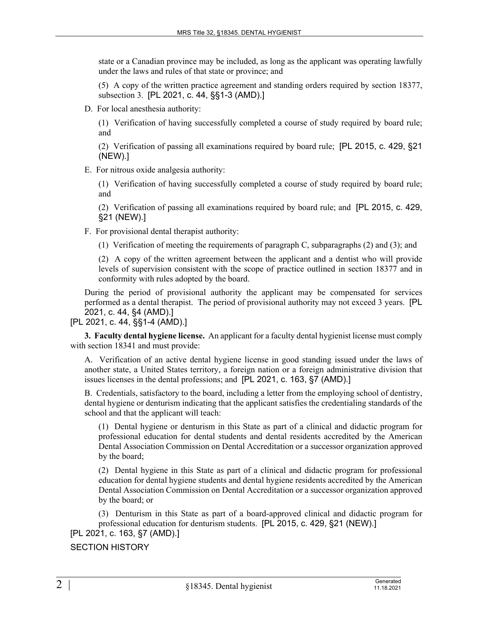state or a Canadian province may be included, as long as the applicant was operating lawfully under the laws and rules of that state or province; and

(5) A copy of the written practice agreement and standing orders required by section 18377, subsection 3. [PL 2021, c. 44, §§1-3 (AMD).]

D. For local anesthesia authority:

(1) Verification of having successfully completed a course of study required by board rule; and

(2) Verification of passing all examinations required by board rule; [PL 2015, c. 429, §21 (NEW).]

E. For nitrous oxide analgesia authority:

(1) Verification of having successfully completed a course of study required by board rule; and

(2) Verification of passing all examinations required by board rule; and [PL 2015, c. 429, §21 (NEW).]

F. For provisional dental therapist authority:

(1) Verification of meeting the requirements of paragraph C, subparagraphs (2) and (3); and

(2) A copy of the written agreement between the applicant and a dentist who will provide levels of supervision consistent with the scope of practice outlined in section 18377 and in conformity with rules adopted by the board.

During the period of provisional authority the applicant may be compensated for services performed as a dental therapist. The period of provisional authority may not exceed 3 years. [PL 2021, c. 44, §4 (AMD).]

[PL 2021, c. 44, §§1-4 (AMD).]

**3. Faculty dental hygiene license.** An applicant for a faculty dental hygienist license must comply with section 18341 and must provide:

A. Verification of an active dental hygiene license in good standing issued under the laws of another state, a United States territory, a foreign nation or a foreign administrative division that issues licenses in the dental professions; and [PL 2021, c. 163, §7 (AMD).]

B. Credentials, satisfactory to the board, including a letter from the employing school of dentistry, dental hygiene or denturism indicating that the applicant satisfies the credentialing standards of the school and that the applicant will teach:

(1) Dental hygiene or denturism in this State as part of a clinical and didactic program for professional education for dental students and dental residents accredited by the American Dental Association Commission on Dental Accreditation or a successor organization approved by the board;

(2) Dental hygiene in this State as part of a clinical and didactic program for professional education for dental hygiene students and dental hygiene residents accredited by the American Dental Association Commission on Dental Accreditation or a successor organization approved by the board; or

(3) Denturism in this State as part of a board-approved clinical and didactic program for professional education for denturism students. [PL 2015, c. 429, §21 (NEW).]

[PL 2021, c. 163, §7 (AMD).]

SECTION HISTORY